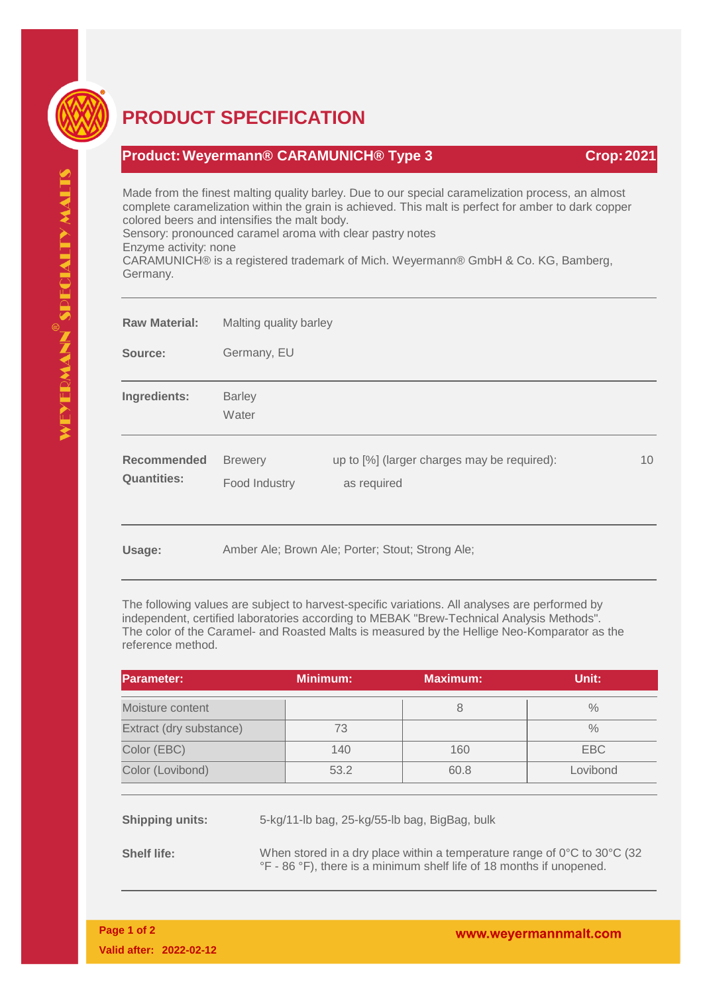

## **PRODUCT SPECIFICATION**

## **Product: Weyermann® CARAMUNICH® Type 3 Crop: 2021**

Made from the finest malting quality barley. Due to our special caramelization process, an almost complete caramelization within the grain is achieved. This malt is perfect for amber to dark copper colored beers and intensifies the malt body.

Sensory: pronounced caramel aroma with clear pastry notes

Enzyme activity: none

CARAMUNICH® is a registered trademark of Mich. Weyermann® GmbH & Co. KG, Bamberg, Germany.

| <b>Raw Material:</b>                     | Malting quality barley          |                                                            |    |
|------------------------------------------|---------------------------------|------------------------------------------------------------|----|
| Source:                                  | Germany, EU                     |                                                            |    |
| Ingredients:                             | <b>Barley</b><br>Water          |                                                            |    |
| <b>Recommended</b><br><b>Quantities:</b> | <b>Brewery</b><br>Food Industry | up to [%] (larger charges may be required):<br>as required | 10 |
| Heano:                                   |                                 | Amber Ale: Brown Ale: Porter: Stout: Strong Ale:           |    |

**Usage:** Amber Ale; Brown Ale; Porter; Stout; Strong Ale;

The following values are subject to harvest-specific variations. All analyses are performed by independent, certified laboratories according to MEBAK "Brew-Technical Analysis Methods". The color of the Caramel- and Roasted Malts is measured by the Hellige Neo-Komparator as the reference method.

| Parameter:              | <b>Minimum:</b> | <b>Maximum:</b> | Unit:         |
|-------------------------|-----------------|-----------------|---------------|
| Moisture content        |                 |                 | $\%$          |
| Extract (dry substance) | 73              |                 | $\frac{0}{0}$ |
| Color (EBC)             | 140             | 160             | EBC           |
| Color (Lovibond)        | 53.2            | 60.8            | Lovibond      |

**Shipping units:** 5-kg/11-lb bag, 25-kg/55-lb bag, BigBag, bulk

**Shelf life:** When stored in a dry place within a temperature range of 0°C to 30°C (32) °F - 86 °F), there is a minimum shelf life of 18 months if unopened.